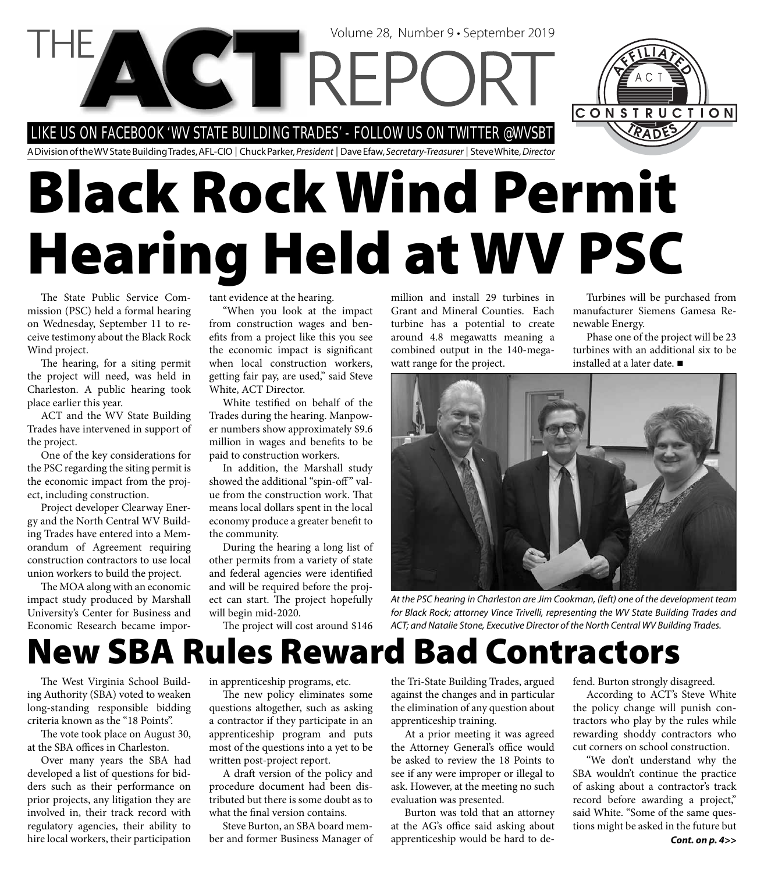LIKE US ON FACEBOOK 'WV STATE BUILDING TRADES' - FOLLOW US ON TWITTER @WVSBT

A Division of the WV State Building Trades, AFL-CIO | Chuck Parker, President | Dave Efaw, Secretary-Treasurer | Steve White, Director

Volume 28, Number 9 • September 2019

# **Black Rock Wind Permit Hearing Held at WV PSC**

The State Public Service Commission (PSC) held a formal hearing on Wednesday, September 11 to receive testimony about the Black Rock Wind project.

The hearing, for a siting permit the project will need, was held in Charleston. A public hearing took place earlier this year.

ACT and the WV State Building Trades have intervened in support of the project.

One of the key considerations for the PSC regarding the siting permit is the economic impact from the project, including construction.

Project developer Clearway Energy and the North Central WV Building Trades have entered into a Memorandum of Agreement requiring construction contractors to use local union workers to build the project.

The MOA along with an economic impact study produced by Marshall University's Center for Business and Economic Research became important evidence at the hearing.

"When you look at the impact from construction wages and benefits from a project like this you see the economic impact is significant when local construction workers, getting fair pay, are used," said Steve White, ACT Director.

White testified on behalf of the Trades during the hearing. Manpower numbers show approximately \$9.6 million in wages and benefits to be paid to construction workers.

In addition, the Marshall study showed the additional "spin-off" value from the construction work. That means local dollars spent in the local economy produce a greater benefit to the community.

During the hearing a long list of other permits from a variety of state and federal agencies were identified and will be required before the project can start. The project hopefully will begin mid-2020.

The project will cost around \$146

million and install 29 turbines in Grant and Mineral Counties. Each turbine has a potential to create around 4.8 megawatts meaning a combined output in the 140-megawatt range for the project.

Turbines will be purchased from manufacturer Siemens Gamesa Renewable Energy.

Phase one of the project will be 23 turbines with an additional six to be installed at a later date.



At the PSC hearing in Charleston are Jim Cookman, (left) one of the development team for Black Rock; attorney Vince Trivelli, representing the WV State Building Trades and ACT; and Natalie Stone, Executive Director of the North Central WV Building Trades.

# **New SBA Rules Reward Bad Contractors**

The West Virginia School Building Authority (SBA) voted to weaken long-standing responsible bidding criteria known as the "18 Points".

The vote took place on August 30, at the SBA offices in Charleston.

Over many years the SBA had developed a list of questions for bidders such as their performance on prior projects, any litigation they are involved in, their track record with regulatory agencies, their ability to hire local workers, their participation

in apprenticeship programs, etc.

The new policy eliminates some questions altogether, such as asking a contractor if they participate in an apprenticeship program and puts most of the questions into a yet to be written post-project report.

A draft version of the policy and procedure document had been distributed but there is some doubt as to what the final version contains.

Steve Burton, an SBA board member and former Business Manager of

the Tri-State Building Trades, argued against the changes and in particular the elimination of any question about apprenticeship training.

At a prior meeting it was agreed the Attorney General's office would be asked to review the 18 Points to see if any were improper or illegal to ask. However, at the meeting no such evaluation was presented.

Burton was told that an attorney at the AG's office said asking about apprenticeship would be hard to defend. Burton strongly disagreed.

According to ACT's Steve White the policy change will punish contractors who play by the rules while rewarding shoddy contractors who cut corners on school construction.

"We don't understand why the SBA wouldn't continue the practice of asking about a contractor's track record before awarding a project," said White. "Some of the same questions might be asked in the future but *Cont. on p. 4>>*

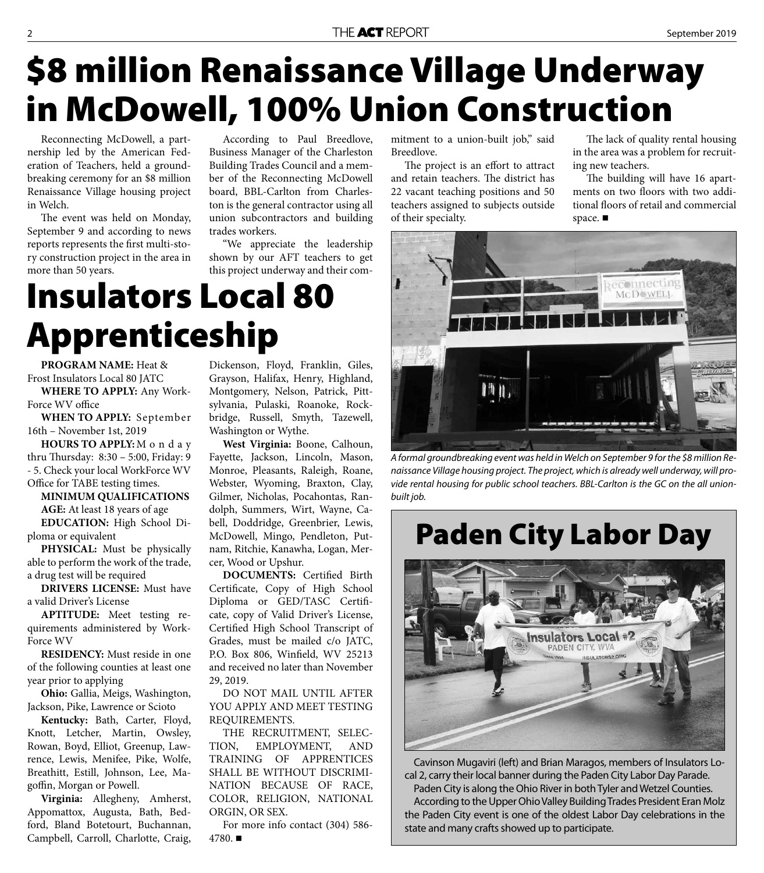# **\$8 million Renaissance Village Underway in McDowell, 100% Union Construction**

Reconnecting McDowell, a partnership led by the American Federation of Teachers, held a groundbreaking ceremony for an \$8 million Renaissance Village housing project in Welch.

The event was held on Monday, September 9 and according to news reports represents the first multi-story construction project in the area in more than 50 years.

According to Paul Breedlove, Business Manager of the Charleston Building Trades Council and a member of the Reconnecting McDowell board, BBL-Carlton from Charleston is the general contractor using all union subcontractors and building trades workers.

"We appreciate the leadership shown by our AFT teachers to get this project underway and their com-

# **Insulators Local 80 Apprenticeship**

**PROGRAM NAME:** Heat & Frost Insulators Local 80 JATC **WHERE TO APPLY:** Any Work-Force WV office

**WHEN TO APPLY:** September 16th – November 1st, 2019

**HOURS TO APPLY:** M o n d a y thru Thursday: 8:30 - 5:00, Friday: 9 - 5. Check your local WorkForce WV Office for TABE testing times.

**MINIMUM QUALIFICATIONS AGE:** At least 18 years of age **EDUCATION:** High School Diploma or equivalent

**PHYSICAL:** Must be physically able to perform the work of the trade, a drug test will be required

**DRIVERS LICENSE:** Must have a valid Driver's License

**APTITUDE:** Meet testing requirements administered by Work-Force WV

**RESIDENCY:** Must reside in one of the following counties at least one year prior to applying

**Ohio:** Gallia, Meigs, Washington, Jackson, Pike, Lawrence or Scioto

**Kentucky:** Bath, Carter, Floyd, Knott, Letcher, Martin, Owsley, Rowan, Boyd, Elliot, Greenup, Lawrence, Lewis, Menifee, Pike, Wolfe, Breathitt, Estill, Johnson, Lee, Magoffin, Morgan or Powell.

**Virginia:** Allegheny, Amherst, Appomattox, Augusta, Bath, Bedford, Bland Botetourt, Buchannan, Campbell, Carroll, Charlotte, Craig,

Dickenson, Floyd, Franklin, Giles, Grayson, Halifax, Henry, Highland, Montgomery, Nelson, Patrick, Pittsylvania, Pulaski, Roanoke, Rockbridge, Russell, Smyth, Tazewell, Washington or Wythe.

**West Virginia:** Boone, Calhoun, Fayette, Jackson, Lincoln, Mason, Monroe, Pleasants, Raleigh, Roane, Webster, Wyoming, Braxton, Clay, Gilmer, Nicholas, Pocahontas, Randolph, Summers, Wirt, Wayne, Cabell, Doddridge, Greenbrier, Lewis, McDowell, Mingo, Pendleton, Putnam, Ritchie, Kanawha, Logan, Mercer, Wood or Upshur.

**DOCUMENTS:** Certified Birth Certificate, Copy of High School Diploma or GED/TASC Certificate, copy of Valid Driver's License, Certified High School Transcript of Grades, must be mailed c/o JATC, P.O. Box 806, Winfield, WV 25213 and received no later than November 29, 2019.

DO NOT MAIL UNTIL AFTER YOU APPLY AND MEET TESTING REQUIREMENTS.

THE RECRUITMENT, SELEC-TION, EMPLOYMENT, AND TRAINING OF APPRENTICES SHALL BE WITHOUT DISCRIMI-NATION BECAUSE OF RACE, COLOR, RELIGION, NATIONAL ORGIN, OR SEX.

For more info contact (304) 586- 4780. $\blacksquare$ 

mitment to a union-built job," said Breedlove.

The project is an effort to attract and retain teachers. The district has 22 vacant teaching positions and 50 teachers assigned to subjects outside of their specialty.

The lack of quality rental housing in the area was a problem for recruiting new teachers.

The building will have 16 apartments on two floors with two additional floors of retail and commercial space.



A formal groundbreaking event was held in Welch on September 9 for the \$8 million Renaissance Village housing project. The project, which is already well underway, will provide rental housing for public school teachers. BBL-Carlton is the GC on the all unionbuilt job.

### **Paden City Labor Day**



Cavinson Mugaviri (left) and Brian Maragos, members of Insulators Local 2, carry their local banner during the Paden City Labor Day Parade. Paden City is along the Ohio River in both Tyler and Wetzel Counties. According to the Upper Ohio Valley Building Trades President Eran Molz the Paden City event is one of the oldest Labor Day celebrations in the state and many crafts showed up to participate.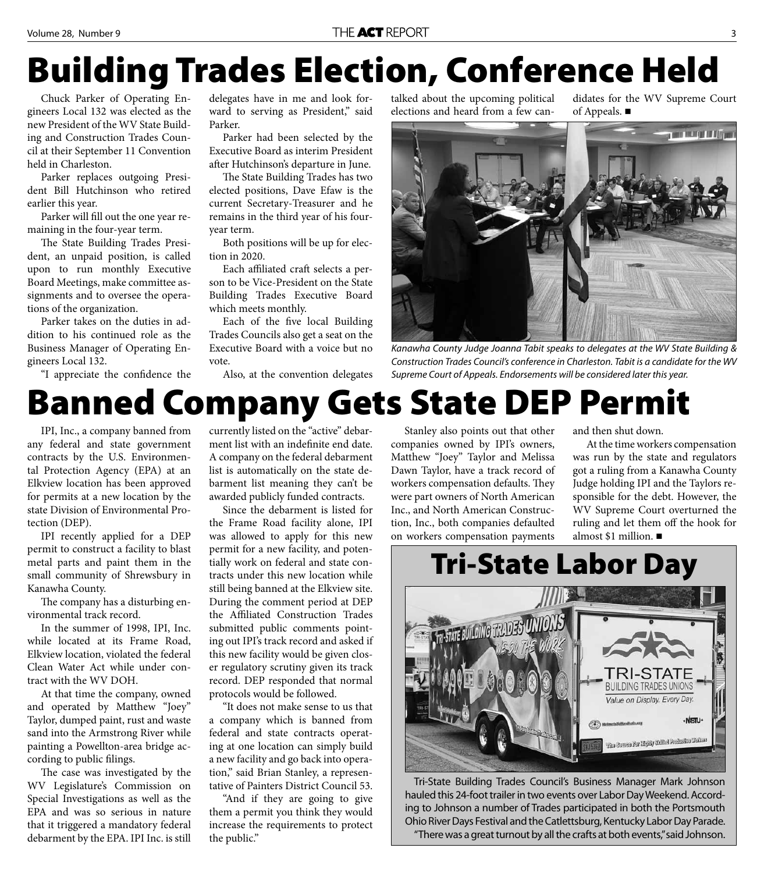# **Building Trades Election, Conference Held**

Chuck Parker of Operating Engineers Local 132 was elected as the new President of the WV State Building and Construction Trades Council at their September 11 Convention held in Charleston.

Parker replaces outgoing President Bill Hutchinson who retired earlier this year.

Parker will fill out the one year remaining in the four-year term.

The State Building Trades President, an unpaid position, is called upon to run monthly Executive Board Meetings, make committee assignments and to oversee the operations of the organization.

Parker takes on the duties in addition to his continued role as the Business Manager of Operating Engineers Local 132.

"I appreciate the confidence the

delegates have in me and look forward to serving as President," said Parker.

Parker had been selected by the Executive Board as interim President after Hutchinson's departure in June.

The State Building Trades has two elected positions, Dave Efaw is the current Secretary-Treasurer and he remains in the third year of his fouryear term.

Both positions will be up for election in 2020.

Each affiliated craft selects a person to be Vice-President on the State Building Trades Executive Board which meets monthly.

Each of the five local Building Trades Councils also get a seat on the Executive Board with a voice but no vote.

Also, at the convention delegates

talked about the upcoming political elections and heard from a few candidates for the WV Supreme Court of Appeals.



Kanawha County Judge Joanna Tabit speaks to delegates at the WV State Building & Construction Trades Council's conference in Charleston. Tabit is a candidate for the WV Supreme Court of Appeals. Endorsements will be considered later this year.

### **Banned Company Gets State DEP Permit**

IPI, Inc., a company banned from any federal and state government contracts by the U.S. Environmental Protection Agency (EPA) at an Elkview location has been approved for permits at a new location by the state Division of Environmental Protection (DEP).

IPI recently applied for a DEP permit to construct a facility to blast metal parts and paint them in the small community of Shrewsbury in Kanawha County.

The company has a disturbing environmental track record.

In the summer of 1998, IPI, Inc. while located at its Frame Road, Elkview location, violated the federal Clean Water Act while under contract with the WV DOH.

At that time the company, owned and operated by Matthew "Joey" Taylor, dumped paint, rust and waste sand into the Armstrong River while painting a Powellton-area bridge according to public filings.

The case was investigated by the WV Legislature's Commission on Special Investigations as well as the EPA and was so serious in nature that it triggered a mandatory federal debarment by the EPA. IPI Inc. is still

currently listed on the "active" debarment list with an indefinite end date. A company on the federal debarment list is automatically on the state debarment list meaning they can't be awarded publicly funded contracts.

Since the debarment is listed for the Frame Road facility alone, IPI was allowed to apply for this new permit for a new facility, and potentially work on federal and state contracts under this new location while still being banned at the Elkview site. During the comment period at DEP the Affiliated Construction Trades submitted public comments pointing out IPI's track record and asked if this new facility would be given closer regulatory scrutiny given its track record. DEP responded that normal protocols would be followed.

"It does not make sense to us that a company which is banned from federal and state contracts operating at one location can simply build a new facility and go back into operation," said Brian Stanley, a representative of Painters District Council 53.

"And if they are going to give them a permit you think they would increase the requirements to protect the public."

Stanley also points out that other companies owned by IPI's owners, Matthew "Joey" Taylor and Melissa Dawn Taylor, have a track record of workers compensation defaults. They were part owners of North American Inc., and North American Construction, Inc., both companies defaulted on workers compensation payments

and then shut down.

At the time workers compensation was run by the state and regulators got a ruling from a Kanawha County Judge holding IPI and the Taylors responsible for the debt. However, the WV Supreme Court overturned the ruling and let them off the hook for almost \$1 million.



Tri-State Building Trades Council's Business Manager Mark Johnson hauled this 24-foot trailer in two events over Labor Day Weekend. According to Johnson a number of Trades participated in both the Portsmouth Ohio River Days Festival and the Catlettsburg, Kentucky Labor Day Parade. "There was a great turnout by all the crafts at both events," said Johnson.